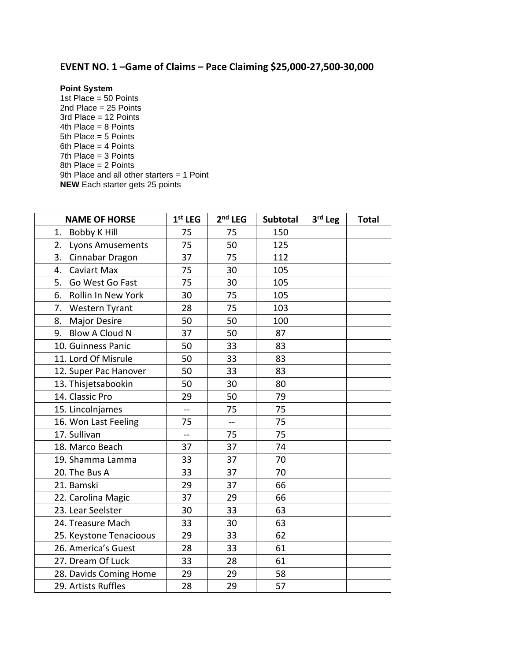## **EVENT NO. 1 –Game of Claims – Pace Claiming \$25,000-27,500-30,000**

## **Point System**

1st Place =  $50$  Points 2nd Place = 25 Points 3rd Place = 12 Points 4th Place = 8 Points 5th Place = 5 Points 6th Place = 4 Points 7th Place = 3 Points 8th Place = 2 Points 9th Place and all other starters = 1 Point **NEW** Each starter gets 25 points

| <b>NAME OF HORSE</b>        | $1st$ LEG      | $2nd$ LEG | Subtotal | 3rd Leg | <b>Total</b> |
|-----------------------------|----------------|-----------|----------|---------|--------------|
| <b>Bobby K Hill</b><br>1.   | 75             | 75        | 150      |         |              |
| 2.<br>Lyons Amusements      | 75             | 50        | 125      |         |              |
| 3.<br>Cinnabar Dragon       | 37             | 75        | 112      |         |              |
| <b>Caviart Max</b><br>4.    | 75             | 30        | 105      |         |              |
| Go West Go Fast<br>5.       | 75             | 30        | 105      |         |              |
| Rollin In New York<br>6.    | 30             | 75        | 105      |         |              |
| 7.<br><b>Western Tyrant</b> | 28             | 75        | 103      |         |              |
| <b>Major Desire</b><br>8.   | 50             | 50        | 100      |         |              |
| <b>Blow A Cloud N</b><br>9. | 37             | 50        | 87       |         |              |
| 10. Guinness Panic          | 50             | 33        | 83       |         |              |
| 11. Lord Of Misrule         | 50             | 33        | 83       |         |              |
| 12. Super Pac Hanover       | 50             | 33        | 83       |         |              |
| 13. Thisjetsabookin         | 50             | 30        | 80       |         |              |
| 14. Classic Pro             | 29             | 50        | 79       |         |              |
| 15. Lincolnjames            | $\overline{a}$ | 75        | 75       |         |              |
| 16. Won Last Feeling        | 75             | $-$       | 75       |         |              |
| 17. Sullivan                | $-$            | 75        | 75       |         |              |
| 18. Marco Beach             | 37             | 37        | 74       |         |              |
| 19. Shamma Lamma            | 33             | 37        | 70       |         |              |
| 20. The Bus A               | 33             | 37        | 70       |         |              |
| 21. Bamski                  | 29             | 37        | 66       |         |              |
| 22. Carolina Magic          | 37             | 29        | 66       |         |              |
| 23. Lear Seelster           | 30             | 33        | 63       |         |              |
| 24. Treasure Mach           | 33             | 30        | 63       |         |              |
| 25. Keystone Tenacioous     | 29             | 33        | 62       |         |              |
| 26. America's Guest         | 28             | 33        | 61       |         |              |
| 27. Dream Of Luck           | 33             | 28        | 61       |         |              |
| 28. Davids Coming Home      | 29             | 29        | 58       |         |              |
| 29. Artists Ruffles         | 28             | 29        | 57       |         |              |